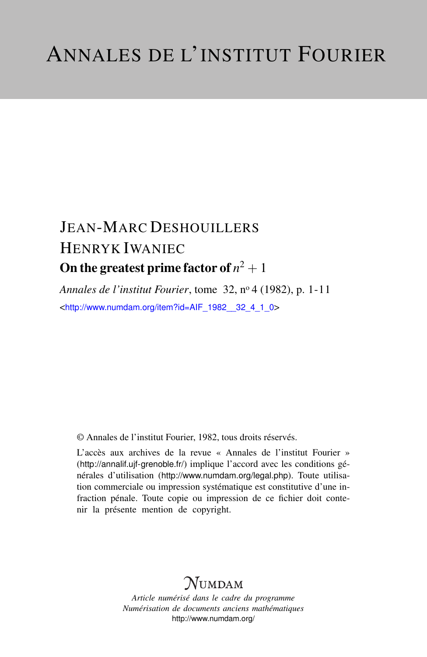# JEAN-MARC DESHOUILLERS HENRYK IWANIEC On the greatest prime factor of  $n^2+1$

*Annales de l'institut Fourier*, tome 32, n<sup>o</sup> 4 (1982), p. 1-11 <[http://www.numdam.org/item?id=AIF\\_1982\\_\\_32\\_4\\_1\\_0](http://www.numdam.org/item?id=AIF_1982__32_4_1_0)>

© Annales de l'institut Fourier, 1982, tous droits réservés.

L'accès aux archives de la revue « Annales de l'institut Fourier » (<http://annalif.ujf-grenoble.fr/>) implique l'accord avec les conditions générales d'utilisation (<http://www.numdam.org/legal.php>). Toute utilisation commerciale ou impression systématique est constitutive d'une infraction pénale. Toute copie ou impression de ce fichier doit contenir la présente mention de copyright.

# NUMDAM

*Article numérisé dans le cadre du programme Numérisation de documents anciens mathématiques* <http://www.numdam.org/>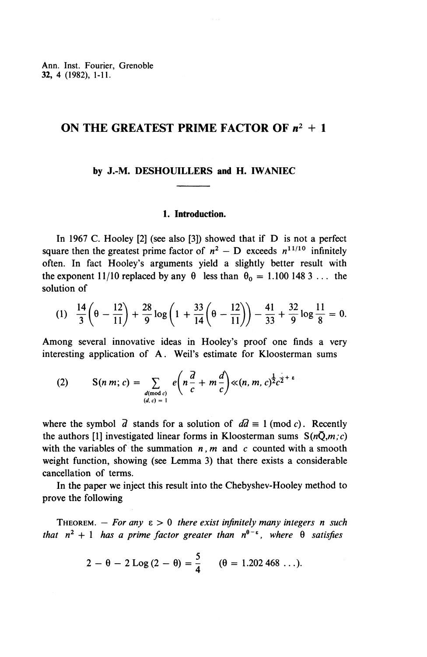# **ON THE GREATEST PRIME FACTOR OF** *n<sup>2</sup> + I*

#### **by J.-M. DESHOUILLERS and H. IWANIEC**

#### **1. Introduction.**

In 1967 C. Hooley [2] (see also [3]) showed that if D is not a perfect square then the greatest prime factor of  $n^2$  – D exceeds  $n^{11/10}$  infinitely often. In fact Hooley's arguments yield a slightly better result with the exponent 11/10 replaced by any  $\theta$  less than  $\theta_0 = 1.100$  148 3 ... the solution of

ution of  
\n(1) 
$$
\frac{14}{3} \left( \theta - \frac{12}{11} \right) + \frac{28}{9} \log \left( 1 + \frac{33}{14} \left( \theta - \frac{12}{11} \right) \right) - \frac{41}{33} + \frac{32}{9} \log \frac{11}{8} = 0.
$$

Among several innovative ideas in Hooley's proof one finds a very interesting application of A. Weil's estimate for Kloosterman sums

(2) 
$$
S(n m; c) = \sum_{\substack{d \pmod{c} \\ (d, c) = 1}} e\left(n \frac{\overline{d}}{c} + m \frac{d}{c}\right) \ll (n, m, c)^{\frac{1}{2}} c^{\frac{1}{2} + \varepsilon}
$$

where the symbol  $\overline{d}$  stands for a solution of  $d\overline{d} \equiv 1 \pmod{c}$ . Recently the authors [1] investigated linear forms in Kloosterman sums  $S(n\overline{Q},m;c)$ with the variables of the summation *n, m* and *c* counted with a smooth weight function, showing (see Lemma 3) that there exists a considerable cancellation of terms.

In the paper we inject this result into the Chebyshev-Hooley method to prove the following

THEOREM.  $-$  For any  $\varepsilon > 0$  there exist infinitely many integers n such *that*  $n^2 + 1$  *has a prime factor greater than*  $n^{\theta - \epsilon}$ *, where*  $\theta$  *satisfies* 

$$
2 - \theta - 2 \text{Log}(2 - \theta) = \frac{5}{4}
$$
 ( $\theta = 1.202\,468$  ...).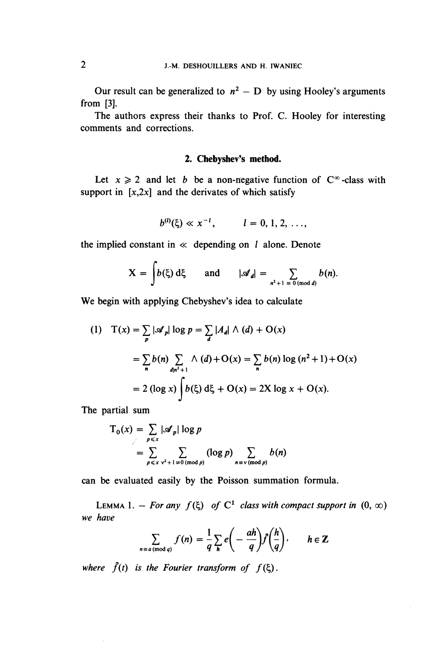Our result can be generalized to  $n^2$  *-* D by using Hooley's arguments from [3].

The authors express their thanks to Prof. C. Hooley for interesting comments and corrections.

#### **2. Chebyshev's method.**

Let  $x \ge 2$  and let *b* be a non-negative function of  $C^{\infty}$ -class with support in  $[x,2x]$  and the derivates of which satisfy

$$
b^{(l)}(\xi) \ll x^{-l}, \qquad l = 0, 1, 2, \ldots,
$$

the implied constant in  $\ll$  depending on l alone. Denote

$$
X = \int b(\xi) d\xi \quad \text{and} \quad |\mathscr{A}_d| = \sum_{n^2 + 1 \equiv 0 \pmod{d}} b(n).
$$

**We** begin with applying Chebyshev's idea to calculate

(1) 
$$
T(x) = \sum_{p} |\mathcal{A}_p| \log p = \sum_{d} |A_d| \wedge (d) + O(x)
$$
  
= 
$$
\sum_{n} b(n) \sum_{d|n^2+1} \wedge (d) + O(x) = \sum_{n} b(n) \log (n^2 + 1) + O(x)
$$
  
= 
$$
2 (\log x) \int b(\xi) d\xi + O(x) = 2X \log x + O(x).
$$

The partial sum

$$
T_0(x) = \sum_{p \le x} |\mathcal{A}_p| \log p
$$
  
= 
$$
\sum_{p \le x} \sum_{v^2 + 1 \equiv 0 \pmod{p}} (\log p) \sum_{n \equiv v \pmod{p}} b(n)
$$

can be evaluated easily by the Poisson summation formula.

LEMMA 1. - *For any*  $f(\xi)$  *of*  $C^1$  *class with compact support in*  $(0, \infty)$ *we have*

$$
\sum_{n \equiv a \pmod{q}} f(n) = \frac{1}{q} \sum_{h} e\left(-\frac{ah}{q}\right) \widehat{f}\left(\frac{h}{q}\right), \qquad h \in \mathbb{Z}
$$

*where*  $\hat{f}(t)$  *is the Fourier transform of*  $f(\xi)$ .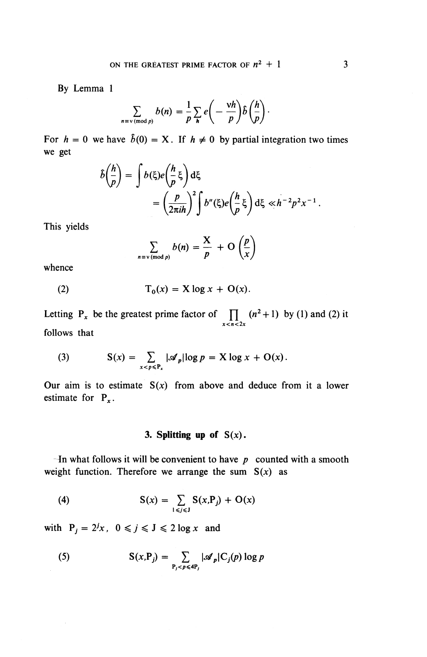**By** Lemma 1

$$
\sum_{n \equiv v \pmod{p}} b(n) = \frac{1}{p} \sum_{h} e\left(-\frac{\nu h}{p}\right) \hat{b}\left(\frac{h}{p}\right).
$$

For  $h = 0$  we have  $\hat{b}(0) = X$ . If  $h \neq 0$  by partial integration two times we get

$$
\hat{b}\left(\frac{h}{p}\right) = \int b(\xi)e\left(\frac{h}{p}\xi\right)d\xi
$$
  
= 
$$
\left(\frac{p}{2\pi i h}\right)^2 \int b''(\xi)e\left(\frac{h}{p}\xi\right)d\xi \ll h^{-2}p^2x^{-1}.
$$

This yields

$$
\sum_{n \equiv v \pmod{p}} b(n) = \frac{X}{p} + O\left(\frac{p}{x}\right)
$$

whence

(2) 
$$
T_0(x) = X \log x + O(x).
$$

Letting  $P_x$  be the greatest prime factor of  $\prod (n^2 + 1)$  by (1) and (2) it *x < n < 2x* follows that

(3) 
$$
S(x) = \sum_{x < p \leq P_x} |\mathscr{A}_p| \log p = X \log x + O(x).
$$

Our aim is to estimate *S(x)* from above and deduce from it a lower estimate for  $P_x$ .

# **3. Splitting up of** *S(x).*

In what follows it will be convenient to have  $p$  counted with a smooth weight function. Therefore we arrange the sum  $S(x)$  as

(4) 
$$
S(x) = \sum_{1 \leq j \leq J} S(x, P_j) + O(x)
$$

with  $P_j = 2^j x$ ,  $0 \le j \le J \le 2 \log x$  and

(5) 
$$
S(x,P_j) = \sum_{P_j < p \leq 4P_j} |\mathscr{A}_p| C_j(p) \log p
$$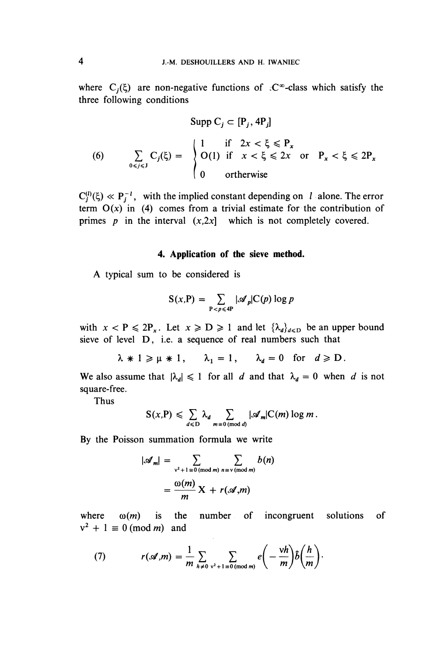where  $C_i(\xi)$  are non-negative functions of  $\partial \mathcal{C}^{\infty}$ -class which satisfy the three following conditions

$$
\text{Supp } C_j \subset [P_j, 4P_j]
$$
\n
$$
\text{(6)} \qquad \sum_{0 \le j \le J} C_j(\xi) = \begin{cases}\n1 & \text{if } 2x < \xi \le P_x \\
O(1) & \text{if } x < \xi \le 2x \text{ or } P_x < \xi \le 2P_x \\
0 & \text{otherwise}\n\end{cases}
$$

 $C_i^{(l)}(\xi) \ll P_i^{-l}$ , with the implied constant depending on  $l$  alone. The error term  $O(x)$  in (4) comes from a trivial estimate for the contribution of primes *p* in the interval  $(x,2x)$  which is not completely covered.

#### **4. Application of the sieve method.**

A typical sum to be considered is

$$
S(x,P) = \sum_{P < p \leq 4P} |\mathscr{A}_p| C(p) \log p
$$

with  $x < P \le 2P_x$ . Let  $x \ge D \ge 1$  and let  $\{\lambda_d\}_{d \le D}$  be an upper bound sieve of level **D,** i.e. a sequence of real numbers such that

$$
\lambda * 1 \ge \mu * 1
$$
,  $\lambda_1 = 1$ ,  $\lambda_d = 0$  for  $d \ge D$ .

We also assume that  $|\lambda_d| \leq 1$  for all *d* and that  $\lambda_d = 0$  when *d* is not square-free.

Thus

$$
S(x,P) \leq \sum_{d \leq D} \lambda_d \sum_{m \equiv 0 \pmod{d}} |\mathscr{A}_m| C(m) \log m.
$$

By the Poisson summation formula we write

$$
|\mathcal{A}_m| = \sum_{\substack{v^2 + 1 \equiv 0 \pmod{m} \\ m}} \sum_{n \equiv v \pmod{m}} b(n)
$$

$$
= \frac{\omega(m)}{m} X + r(\mathcal{A}, m)
$$

where  $\omega(m)$  is the number of incongruent solutions of  $v^2 + 1 \equiv 0 \pmod{m}$  and

(7) 
$$
r(\mathscr{A},m) = \frac{1}{m} \sum_{h \neq 0} \sum_{v^2 + 1 \equiv 0 \pmod{m}} e\left(-\frac{vh}{m}\right) \hat{b}\left(\frac{h}{m}\right).
$$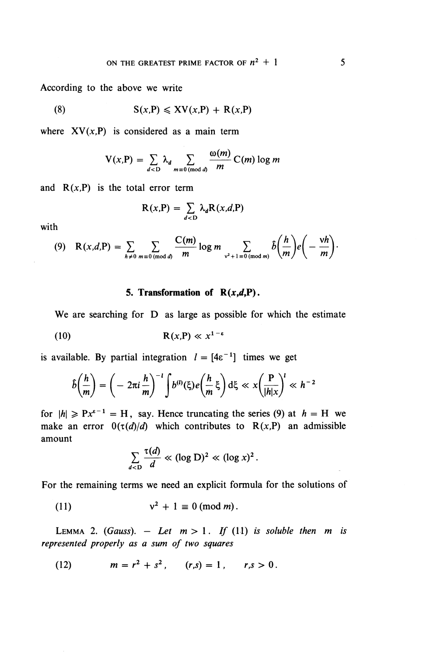According to the above we write

(8) 
$$
S(x,P) \leqslant XV(x,P) + R(x,P)
$$

where  $XV(x,P)$  is considered as a main term

$$
V(x,P) = \sum_{d < D} \lambda_d \sum_{m \equiv 0 \pmod{d}} \frac{\omega(m)}{m} C(m) \log m
$$

and  $R(x,P)$  is the total error term

$$
R(x,P) = \sum_{d < D} \lambda_d R(x,d,P)
$$

with

$$
(9) \quad \mathbf{R}(x,d,\mathbf{P}) = \sum_{h \neq 0} \sum_{m \equiv 0 \pmod{d}} \frac{\mathbf{C}(m)}{m} \log m \sum_{\mathbf{v}^2 + 1 \equiv 0 \pmod{m}} \hat{b}\left(\frac{h}{m}\right) e\left(-\frac{\mathbf{v}h}{m}\right).
$$

## **5. Transformation of**  $R(x,d,P)$ **.**

**We** are searching for D as large as possible for which the estimate

$$
R(x,P) \ll x^{1-\epsilon}
$$

is available. By partial integration  $l = [4\varepsilon^{-1}]$  times we get

$$
\hat{b}\left(\frac{h}{m}\right) = \left(-2\pi i \frac{h}{m}\right)^{-1} \int b^{(l)}(\xi) e\left(\frac{h}{m}\xi\right) d\xi \ll x \left(\frac{P}{|h|x}\right)^{l} \ll h^{-2}
$$

for  $\vert h \vert \geqslant Px^{e-1} = H$ , say. Hence truncating the series (9) at  $h = H$  we make an error  $0(\tau(d)/d)$  which contributes to R(x,P) an admissible amount

$$
\sum_{d < D} \frac{\tau(d)}{d} \ll (\log D)^2 \ll (\log x)^2.
$$

For the remaining terms we need an explicit formula for the solutions of

 $(11)$  $2^2 + 1 \equiv 0 \pmod{m}$ .

LEMMA 2. *(Gauss).*  $-$  *Let*  $m > 1$ *. If (11) is soluble then m is represented properly as a sum of two squares*

(12) 
$$
m = r^2 + s^2
$$
,  $(r,s) = 1$ ,  $r,s > 0$ .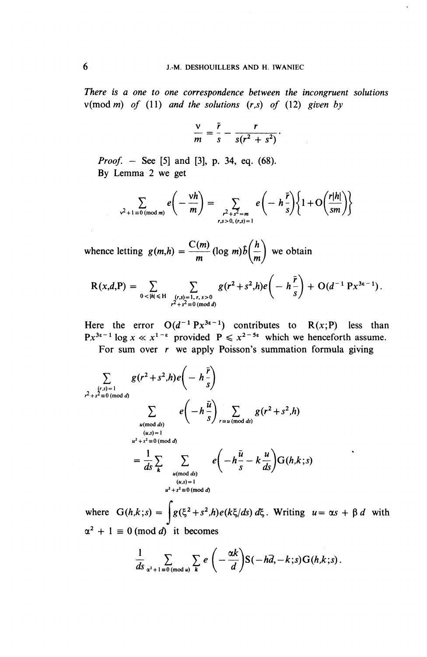*There is a one to one correspondence between the incongruent solutions*  $v(\text{mod } m)$  of (11) and the solutions  $(r,s)$  of (12) given by

$$
\frac{v}{m}=\frac{\bar{r}}{s}-\frac{r}{s(r^2+s^2)}.
$$

*Proof. -* See [5] and [3], p. 34, eq. (68). **By** Lemma 2 we get

$$
\sum_{v^2+1 \equiv 0 \pmod{m}} e\left(-\frac{vh}{m}\right) = \sum_{\substack{r^2+s^2=m\\r,s>0,\ (r,s)=1}} e\left(-h\frac{\bar{r}}{s}\right) \left\{1+O\left(\frac{r|h|}{sm}\right)\right\}
$$

whence letting  $g(m,h) = \frac{C(m)}{m} (\log m)\hat{b}(\frac{h}{m})$  we obtain

$$
R(x,d,P) = \sum_{0 < |h| \leq H} \sum_{\substack{(r,s)=1, r,s>0 \\ r^2+s^2 \equiv 0 \pmod{d}}} g(r^2+s^2,h)e\left(-h\frac{\bar{r}}{s}\right) + O(d^{-1}Px^{3s-1}).
$$

Here the error  $O(d^{-1}Px^{3\epsilon-1})$  contributes to  $R(x;P)$  less than Here the error  $O(d^2+rx^{3/2})$  contributes to  $K(x, P)$  less the p<sub>x</sub><sup>3*z*-1</sup> log  $x \ll x^{1-\epsilon}$  provided  $P \leq x^{2-5\epsilon}$  which we henceforth assum

For sum over *r* we apply Poisson's summation formula giving

$$
\sum_{\substack{(r,s)=1 \ p+3^2 \equiv 0 \pmod{d}}} g(r^2+s^2,h)e\left(-h\frac{\bar{r}}{s}\right)
$$
\n
$$
\sum_{\substack{u \pmod{ds} \\ (u,s)=1}} e\left(-h\frac{\bar{u}}{s}\right) \sum_{r \equiv u \pmod{ds}} g(r^2+s^2,h)
$$
\n
$$
= \frac{1}{ds} \sum_{k} \sum_{\substack{u \pmod{ds} \\ (u,s)=1 \\ (u,s)=1}} e\left(-h\frac{\bar{u}}{s}-k\frac{u}{ds}\right)G(h,k;s)
$$

where  $G(h,k;s) = \int g(\xi^2+s^2,h)e(k\xi/ds) d\xi$ . Writing  $u = \alpha s + \beta d$  with  $\alpha^2 + 1 \equiv 0 \pmod{d}$  it becomes

0 (mod *d*) it becomes  
\n
$$
\frac{1}{ds}\sum_{\alpha^2+1\equiv 0 \pmod{u}}\sum_{k}e\left(-\frac{\alpha k}{d}\right)S(-h\overline{d},-k;s)G(h,k;s).
$$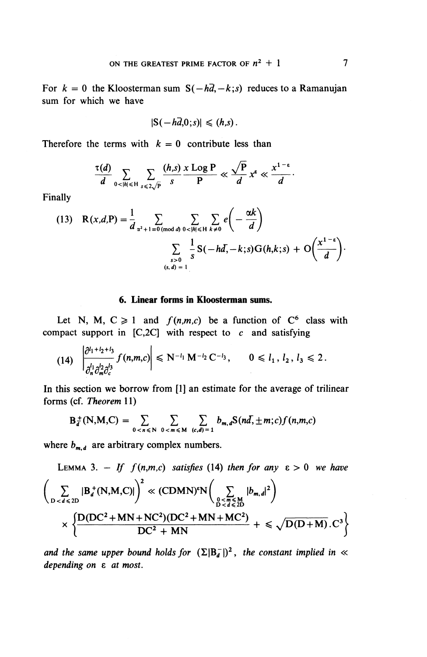For  $k = 0$  the Kloosterman sum  $S(-h\overline{d}, -k; s)$  reduces to a Ramanujan sum for which we have

$$
|S(-h\overline{d},0;s)|\leqslant (h,s).
$$

Therefore the terms with  $k = 0$  contribute less than

$$
\frac{\tau(d)}{d} \sum_{0 < |h| \leq H} \sum_{s \leq 2\sqrt{P}} \frac{(h,s)}{s} \frac{x \text{ Log } P}{P} \ll \frac{\sqrt{P}}{d} x^{\varepsilon} \ll \frac{x^{1-\varepsilon}}{d}.
$$

Finally

(13) 
$$
R(x,d,P) = \frac{1}{d} \sum_{\substack{\alpha^2 + 1 \equiv 0 \pmod{d} \\ s > 0}} \sum_{\substack{0 < |h| \leq H \\ s > 0}} \sum_{k \neq 0} e\left(-\frac{\alpha k}{d}\right)
$$

$$
\sum_{\substack{s > 0 \\ (s, d) = 1}} \frac{1}{s} S(-hd, -k; s) G(h,k; s) + O\left(\frac{x^{1-\epsilon}}{d}\right).
$$

### **6. Linear forms in Kloosterman sums.**

Let N, M,  $C \ge 1$  and  $f(n,m,c)$  be a function of  $C^6$  class with compact support in  $[C,2C]$  with respect to c and satisfying

$$
(14) \left|\frac{\partial^{l_1+l_2+l_3}}{\partial_n^{l_1}\partial_m^{l_2}\partial_c^{l_3}}f(n,m,c)\right| \leq N^{-l_1} M^{-l_2} C^{-l_3}, \qquad 0 \leq l_1, l_2, l_3 \leq 2.
$$

In this section we borrow from [1] an estimate for the average of trilinear forms (cf. *Theorem* 11)

4)  
\n
$$
\left|\int_{\partial_n^1 \partial_m^2 \partial_c^2} J(n,m,c)\right| \le N^{-1} M^{-2} C^{-3}, \qquad 0 \le l_1, l_2, l_3 \le
$$
\n5 section we borrow from [1] an estimate for the average of  
\n(cf. Theorem 11)  
\n
$$
B_d^{\pm}(N,M,C) = \sum_{0 < n \le N} \sum_{0 < m \le M} \sum_{(c,d)=1} b_{m,d} S(n\bar{d}, \pm m; c) f(n,m,c)
$$

where  $b_{m,d}$  are arbitrary complex numbers.

LEMMA 3. – If 
$$
f(n,m,c)
$$
 satisfies (14) then for any  $\epsilon > 0$  we have  
\n
$$
\left(\sum_{D < d \le D} |B_d^+(N,M,C)|\right)^2 \ll (CDM N)^{\epsilon} N \left(\sum_{\substack{D < m \le M \\ D < d \le D}} |b_{m,d}|^2\right)
$$
\n
$$
\times \left\{\frac{D(DC^2 + MN + NC^2)(DC^2 + MN + MC^2)}{DC^2 + MN} + \le \sqrt{D(D+M)} \cdot C^3\right\}
$$

and the same upper bound holds for  $(\Sigma | B^-_d|)^2$ , the constant implied in « *depending on* e *at most.*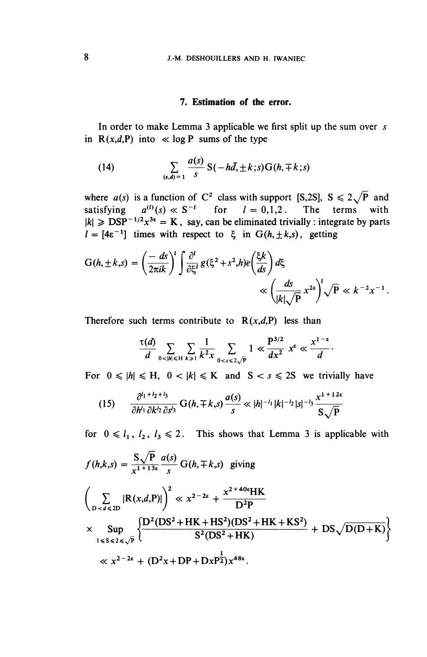#### **7. Estimation of the error.**

In order to make Lemma 3 applicable we first split up the sum over *s* in  $R(x,d,P)$  into  $\ll$  log P sums of the type

(14) 
$$
\sum_{(s,d)=1} \frac{a(s)}{s} S(-hd, \pm k; s) G(h, \mp k; s)
$$

where  $a(s)$  is a function of C<sup>2</sup> class with support [S,2S],  $S \le 2\sqrt{P}$  and satisfying  $a^{(l)}(s) \ll S^{-l}$  for  $l = 0,1,2$ . The terms with  $|k| \geqslant \text{DSP}^{-1/2}x^{3\epsilon} = K$ , say, can be eliminated trivially : integrate by parts

$$
l = [4\epsilon^{-1}] \text{ times with respect to } \xi \text{ in } G(h, \pm k, s), \text{ getting}
$$
  

$$
G(h, \pm k, s) = \left(\frac{-ds}{2\pi ik}\right)^l \int \frac{\partial^l}{\partial \xi^l} g(\xi^2 + s^2, h) e\left(\frac{\xi k}{ds}\right) d\xi
$$

$$
\ll \left(\frac{ds}{|k|\sqrt{P}} x^{2\epsilon}\right)^l \sqrt{P} \ll k^{-2}x^{-1}.
$$

Therefore such terms contribute to  $R(x,d,P)$  less than

$$
\frac{\tau(d)}{d}\sum_{0<|h|\leqslant H}\sum_{k\geqslant 1}\frac{1}{k^2x}\sum_{0< s\leqslant 2\sqrt{P}}1\ll \frac{P^{3/2}}{dx^2}x^{\varepsilon}\ll \frac{x^{1-\varepsilon}}{d}.
$$

For  $0 \leq h \leq H$ ,  $0 < |k| \leq K$  and  $S < s \leq 2S$  we trivially have

$$
(15) \qquad \frac{\partial^{l_1+l_2+l_3}}{\partial h^{l_1}\partial k^{l_2}\partial s^{l_3}}\,G(h,\mp k,s)\,\frac{a(s)}{s}\ll |h|^{-l_1}|k|^{-l_2}|s|^{-l_3}\,\frac{x^{1+12s}}{S\sqrt{P}}
$$

for  $0 \le l_1, l_2, l_3 \le 2$ . This shows that Lemma 3 is applicable with

$$
f(h,k,s) = \frac{S\sqrt{P}}{x^{1+13\epsilon}} \frac{a(s)}{s} G(h,\mp k,s) \text{ giving}
$$
  

$$
\left(\sum_{D < d \leq 2D} |R(x,d,P)|\right)^2 \ll x^{2-2\epsilon} + \frac{x^{2+40\epsilon}HK}{D^2P}
$$
  

$$
\times \sup_{1 \leq s \leq 2 \leq \sqrt{P}} \left\{ \frac{D^2(DS^2 + HK + HS^2)(DS^2 + HK + KS^2)}{S^2(DS^2 + HK)} + DS\sqrt{D(D+K)} \right\}
$$
  

$$
\ll x^{2-2\epsilon} + (D^2x + DP + DxP^{\frac{1}{2}})x^{48\epsilon}.
$$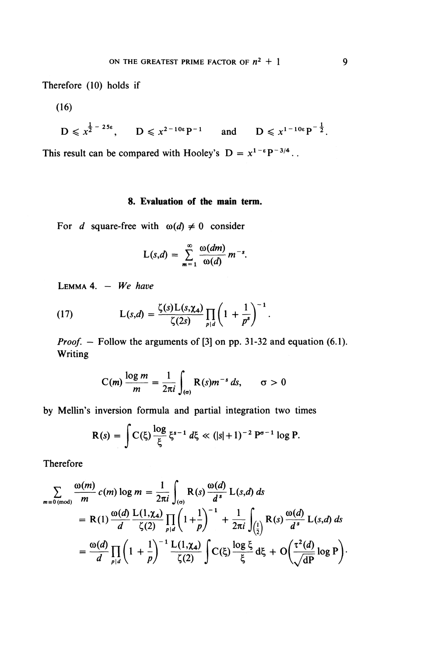Therefore (10) holds if

(16)

$$
D \le x^{\frac{1}{2}-25\epsilon}
$$
,  $D \le x^{2-10\epsilon}P^{-1}$  and  $D \le x^{1-10\epsilon}P^{-\frac{1}{2}}$ .

This result can be compared with Hooley's  $D = x^{1-\epsilon} P^{-3/4}$ .

## **8. Evaluation of the main term.**

For *d* square-free with  $\omega(d) \neq 0$  consider

$$
L(s,d) = \sum_{m=1}^{\infty} \frac{\omega(dm)}{\omega(d)} m^{-s}.
$$

LEMMA 4. — *We have*

(17) 
$$
L(s,d) = \frac{\zeta(s)L(s,\chi_d)}{\zeta(2s)} \prod_{p|d} \left(1 + \frac{1}{p^s}\right)^{-1}.
$$

*Proof.*  $-$  Follow the arguments of [3] on pp. 31-32 and equation (6.1). Writing

$$
C(m)\frac{\log m}{m}=\frac{1}{2\pi i}\int_{(\sigma)}R(s)m^{-s}\,ds,\qquad \sigma>0
$$

by Mellin's inversion formula and partial integration two times

$$
R(s) = \int C(\xi) \frac{\log \xi}{\xi} \xi^{s-1} d\xi \ll (|s|+1)^{-2} P^{\sigma-1} \log P.
$$

Therefore

$$
\sum_{m\equiv 0 \pmod{m}} \frac{\omega(m)}{m} c(m) \log m = \frac{1}{2\pi i} \int_{(\sigma)} \mathbf{R}(s) \frac{\omega(d)}{d^s} \mathbf{L}(s,d) ds
$$
  
\n=  $\mathbf{R}(1) \frac{\omega(d)}{d} \frac{\mathbf{L}(1,\chi_4)}{\zeta(2)} \prod_{p|d} \left(1+\frac{1}{p}\right)^{-1} + \frac{1}{2\pi i} \int_{(\frac{1}{2})} \mathbf{R}(s) \frac{\omega(d)}{d^s} \mathbf{L}(s,d) ds$   
\n=  $\frac{\omega(d)}{d} \prod_{p|d} \left(1+\frac{1}{p}\right)^{-1} \frac{\mathbf{L}(1,\chi_4)}{\zeta(2)} \int C(\xi) \frac{\log \xi}{\xi} d\xi + O\left(\frac{\tau^2(d)}{\sqrt{dP}} \log P\right).$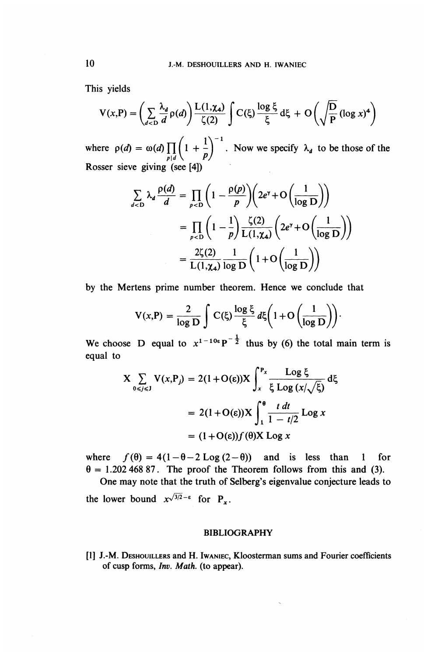This yields

is yields  
\n
$$
V(x,P) = \left(\sum_{d
$$

where  $\rho(d) = \omega(d) \prod_{p|d} \left(1 + \frac{1}{p}\right)^{-1}$ . Now we specify  $\lambda_d$  to be those of the Rosser sieve giving (see [4])

We giving (see [4])  
\n
$$
\sum_{d\n
$$
= \prod_{p\n
$$
= \frac{2\zeta(2)}{L(1,\chi_4)} \frac{1}{\log D} \left( 1 + O\left( \frac{1}{\log D} \right) \right)
$$
$$
$$

by the Mertens prime number theorem. Hence we conclude that

$$
V(x,P) = \frac{2}{\log D} \int C(\xi) \frac{\log \xi}{\xi} d\xi \left(1 + O\left(\frac{1}{\log D}\right)\right).
$$

We choose D equal to  $x^{1-10\varepsilon}P^{-\frac{1}{2}}$  thus by (6) the total main term is equal to

$$
X \sum_{0 \le j \le J} V(x, P_j) = 2(1 + O(\varepsilon))X \int_x^{P_x} \frac{\text{Log } \xi}{\xi \text{Log } (x/\sqrt{\xi})} d\xi
$$

$$
= 2(1 + O(\varepsilon))X \int_1^{\theta} \frac{t \, dt}{1 - t/2} \text{Log } x
$$

$$
= (1 + O(\varepsilon))f(\theta)X \text{Log } x
$$

where  $f(\theta) = 4(1-\theta-2 \text{Log}(2-\theta))$  and is less than 1 for  $\theta = 1.20246887$ . The proof the Theorem follows from this and (3).

One may note that the truth of Selberg's eigenvalue conjecture leads to the lower bound  $x^{\sqrt{3}/2-\epsilon}$  for

#### **BIBLIOGRAPHY**

[1] J.-M. DESHOUILLERS and H. IWANIEC, Kloosterman sums and Fourier coefficients of cusp forms, *Inv. Math.* (to appear).